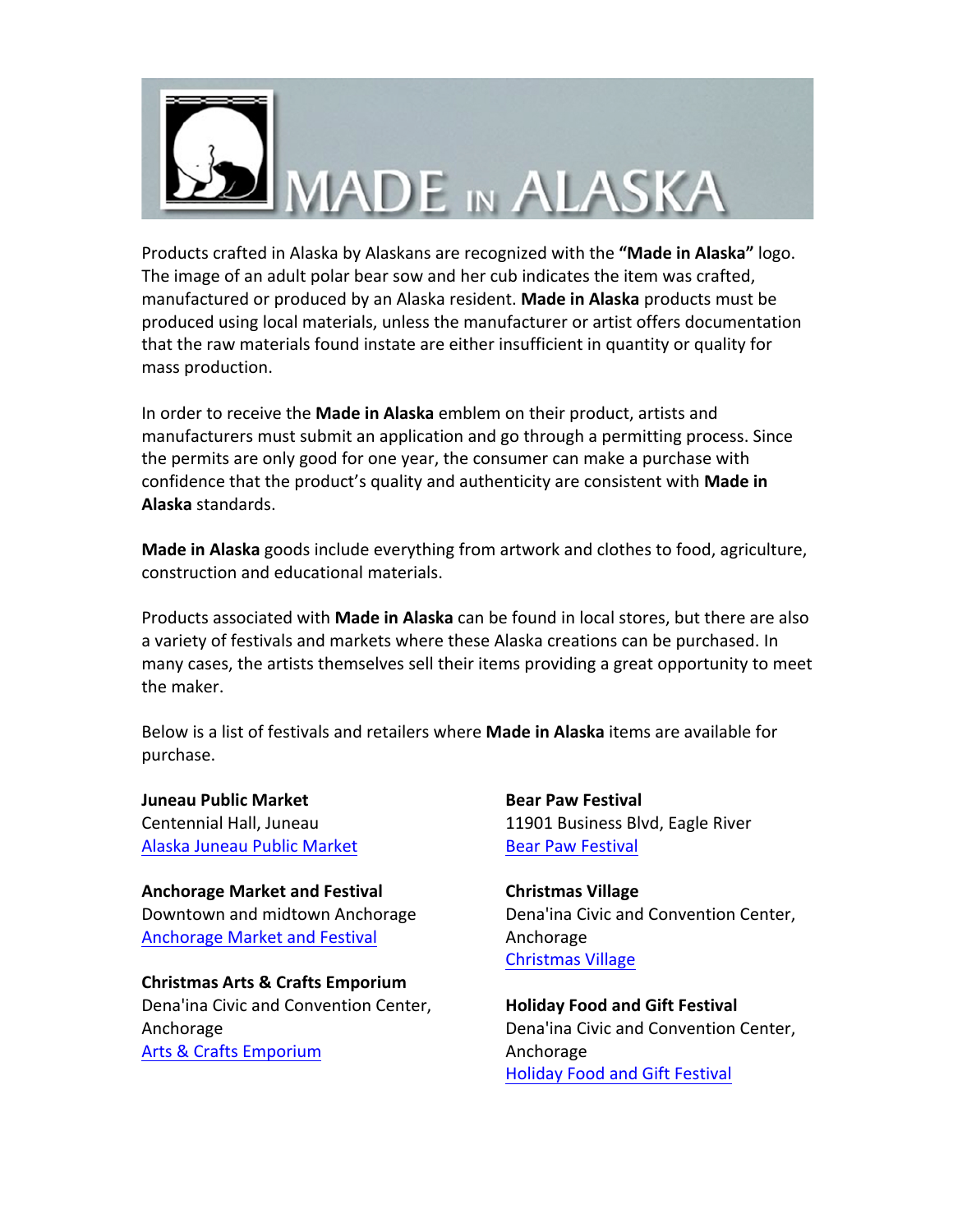

Products crafted in Alaska by Alaskans are recognized with the "**Made in Alaska"** logo. The image of an adult polar bear sow and her cub indicates the item was crafted, manufactured or produced by an Alaska resident. Made in Alaska products must be produced using local materials, unless the manufacturer or artist offers documentation that the raw materials found instate are either insufficient in quantity or quality for mass production.

In order to receive the **Made in Alaska** emblem on their product, artists and manufacturers must submit an application and go through a permitting process. Since the permits are only good for one year, the consumer can make a purchase with confidence that the product's quality and authenticity are consistent with **Made in Alaska** standards. 

**Made in Alaska** goods include everything from artwork and clothes to food, agriculture, construction and educational materials.

Products associated with **Made in Alaska** can be found in local stores, but there are also a variety of festivals and markets where these Alaska creations can be purchased. In many cases, the artists themselves sell their items providing a great opportunity to meet the maker.

Below is a list of festivals and retailers where **Made in Alaska** items are available for purchase.

**Juneau Public Market** Centennial Hall, Juneau Alaska Juneau Public Market

**Anchorage Market and Festival** Downtown and midtown Anchorage Anchorage Market and Festival

**Christmas Arts & Crafts Emporium** Dena'ina Civic and Convention Center, Anchorage Arts & Crafts Emporium

**Bear Paw Festival**  11901 Business Blvd, Eagle River Bear Paw Festival

**Christmas Village**  Dena'ina Civic and Convention Center, Anchorage Christmas Village

**Holiday Food and Gift Festival** Dena'ina Civic and Convention Center, Anchorage Holiday Food and Gift Festival